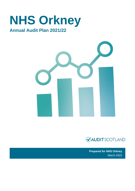# **NHS Orkney**

# **Annual Audit Plan 2021/22**





**Prepared for NHS Orkney**  March 2022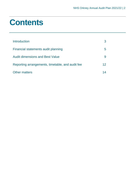# **Contents**

| Introduction                                     |    |
|--------------------------------------------------|----|
| Financial statements audit planning              | b  |
| <b>Audit dimensions and Best Value</b>           |    |
| Reporting arrangements, timetable, and audit fee | 12 |
| <b>Other matters</b>                             |    |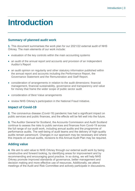# <span id="page-2-0"></span>**Introduction**

# **Summary of planned audit work**

**1.** This document summarises the work plan for our 2021/22 external audit of NHS Orkney. The main elements of our work include:

- evaluation of the key controls within the main accounting systems
- an audit of the annual report and accounts and provision of an Independent Auditor's Report
- an audit opinion on regularity and other statutory information published within the annual report and accounts including the Performance Report, the Governance Statement and the Remuneration and Staff Report.
- consideration of arrangements in relation to the audit dimensions: financial management, financial sustainability, governance and transparency and value for money that frame the wider scope of public sector audit
- consideration of Best Value arrangements
- review NHS Orkney's participation in the National Fraud Initiative.

# **Impact of Covid-19**

**2.** The coronavirus disease (Covid-19) pandemic has had a significant impact on public services and public finances, and the effects will be felt well into the future.

**3.** The Auditor General for Scotland, the Accounts Commission and Audit Scotland continue to assess the risks to public services and finances from Covid-19 across the full range of our audit work, including annual audits and the programme of performance audits. The well-being of audit teams and the delivery of high-quality audits remain paramount. Changes in our approach may be necessary and where this impacts on annual audits, revisions to this Annual Audit Plan may be required.

# **Adding value**

**4.** We aim to add value to NHS Orkney through our external audit work by being constructive and forward looking, by identifying areas for improvement and by recommending and encouraging good practice. In so doing, we will help NHS Orkney promote improved standards of governance, better management and decision making and more effective use of resources. Additionally, we attend meetings of the Audit and Risk Committee and actively participate in discussions.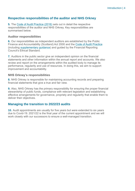### **Respective responsibilities of the auditor and NHS Orkney**

**5.** The [Code of Audit Practice \(2016\)](https://www.audit-scotland.gov.uk/uploads/docs/report/2016/code_audit_practice_16_0.pdf) sets out in detail the respective responsibilities of the auditor and NHS Orkney. Key responsibilities are summarised below.

#### **Auditor responsibilities**

**6.** Our responsibilities as independent auditors are established by the Public Finance and Accountability (Scotland) Act 2000 and the [Code of Audit Practice](https://www.audit-scotland.gov.uk/uploads/docs/report/2016/code_audit_practice_16_0.pdf) (including [supplementary guidance\)](https://www.audit-scotland.gov.uk/uploads/docs/um/code_audit_guidance_16_supp.pdf) and guided by the Financial Reporting Council's Ethical Standard.

**7.** Auditors in the public sector give an independent opinion on the financial statements and other information within the annual report and accounts. We also review and report on the arrangements within the audited body to manage its performance, regularity and use of resources. In doing this, we aim to support improvement and accountability.

#### **NHS Orkney's responsibilities**

**8.** NHS Orkney is responsible for maintaining accounting records and preparing financial statements that give a true and fair view.

**9.** Also, NHS Orkney has the primary responsibility for ensuring the proper financial stewardship of public funds, compliance with relevant legislation and establishing effective arrangements for governance, propriety and regularity that enable them to deliver their objectives.

### **Managing the transition to 2022/23 audits**

**10.** Audit appointments are usually for five years but were extended to six years due to Covid-19. 2021/22 is the final year of the current appointment and we will work closely with our successors to ensure a well-managed transition.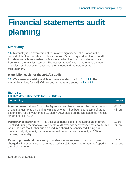# <span id="page-4-0"></span>**Financial statements audit planning**

# **Materiality**

**11.** Materiality is an expression of the relative significance of a matter in the context of the financial statements as a whole. We are required to plan our audit to determine with reasonable confidence whether the financial statements are free from material misstatement. The assessment of what is material is a matter of professional judgement over both the amount and the nature of the misstatement.

#### **Materiality levels for the 2021/22 audit**

**12.** We assess materiality at different levels as described in [Exhibit 1.](#page-4-1) The materiality values for NHS Orkney and its group are set out in [Exhibit 1.](#page-4-1)

#### <span id="page-4-1"></span>**Exhibit 1 2021/22 Materiality levels for NHS Orkney**

| <b>Materiality</b>                                                                                                                                                                                                                                                                                                                                                         | <b>Amount</b>    |
|----------------------------------------------------------------------------------------------------------------------------------------------------------------------------------------------------------------------------------------------------------------------------------------------------------------------------------------------------------------------------|------------------|
| <b>Planning materiality</b> – This is the figure we calculate to assess the overall impact<br>of audit adjustments on the financial statements. It has been set at 1.5% of gross<br>expenditure for the year ended 31 March 2022 based on the latest audited financial<br>statements for 2020/21.                                                                          | £1.25<br>million |
| <b>Performance materiality</b> – This acts as a trigger point. If the aggregate of errors<br>identified during the financial statements audit exceeds performance materiality, this<br>would indicate that further audit procedures should be considered. Using our<br>professional judgement, we have assessed performance materiality at 75% of<br>planning materiality. | £0.95<br>million |
| <b>Reporting threshold (i.e. clearly trivial)</b> – We are required to report to those<br>charged with governance on all unadjusted misstatements more than the 'reporting<br>threshold' amount.                                                                                                                                                                           | £40<br>thousand  |

Source: Audit Scotland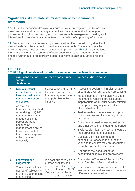### **Significant risks of material misstatement to the financial statements**

**13.** Our risk assessment draws on our cumulative knowledge of NHS Orkney, its major transaction streams, key systems of internal control and risk management processes. Also, it is informed by our discussions with management, meetings with internal audit, attendance at committees and a review of supporting information.

**14.** Based on our risk assessment process, we identified the following significant risks of material misstatement to the financial statements. These are risks which have the greatest impact on our planned audit procedures. [Exhibit 2](#page-5-0) summarises the nature of the risk, the sources of assurance from management arrangements and the further audit procedures we plan to perform to gain assurance over the risk.

<span id="page-5-0"></span>

| <b>Exhibit 2</b><br>2021/22 Significant risks of material misstatement to the financial statements |                                                                                                                                                                                                                                                                                                                                                                                 |                                                                                                                                                             |                                                                                                                                                                                                                                                                                                                                                                                                                                                                                                                                                                                                                                                                                                                                                                                                                      |
|----------------------------------------------------------------------------------------------------|---------------------------------------------------------------------------------------------------------------------------------------------------------------------------------------------------------------------------------------------------------------------------------------------------------------------------------------------------------------------------------|-------------------------------------------------------------------------------------------------------------------------------------------------------------|----------------------------------------------------------------------------------------------------------------------------------------------------------------------------------------------------------------------------------------------------------------------------------------------------------------------------------------------------------------------------------------------------------------------------------------------------------------------------------------------------------------------------------------------------------------------------------------------------------------------------------------------------------------------------------------------------------------------------------------------------------------------------------------------------------------------|
|                                                                                                    | <b>Significant risk of</b><br>material<br>misstatement                                                                                                                                                                                                                                                                                                                          | <b>Sources of assurance</b>                                                                                                                                 | <b>Planned audit response</b>                                                                                                                                                                                                                                                                                                                                                                                                                                                                                                                                                                                                                                                                                                                                                                                        |
| 1.                                                                                                 | <b>Risk of material</b><br>misstatement due to<br>fraud caused by the<br>management override<br>of controls<br>As stated in<br><b>International Standard</b><br>on Auditing (UK) 240,<br>management is in a<br>unique position to<br>perpetrate fraud<br>because of<br>management's ability<br>to override controls<br>that otherwise appear<br>to be operating<br>effectively. | Owing to the nature of<br>this risk, assurances<br>from management are<br>not applicable in this<br>instance                                                | Assess the design and implementation<br>of controls over journal entry processing.<br>Make inquiries of individuals involved in<br>$\bullet$<br>the financial reporting process about<br>inappropriate or unusual activity relating<br>to the processing of journal entries and<br>other adjustments.<br>Test journals at the year-end and post-<br>closing entries and focus on significant<br>risk areas.<br>Consider the need to test journal entries<br>and other adjustments during the period.<br>Evaluate significant transactions outside<br>the normal course of business.<br>Substantively test income and<br>expenditure transactions around the<br>year-end to confirm they are accounted<br>for in the correct financial year.<br>Undertake focussed testing of<br>accounting accruals and prepayments. |
| 2.                                                                                                 | <b>Estimation and</b><br>judgements<br>There is a significant<br>degree of subjectivity<br>in the valuation of land<br>and buildings.                                                                                                                                                                                                                                           | We continue to rely on<br>professional advice of<br>an external valuer. The<br>next revaluation of NHS<br>Orkney's properties is<br>due in 2023. Indexation | Completion of 'review of the work of an<br>expert' for the professional valuer.<br>Review of indexations and valuations to<br>ensure carrying values are not materially<br>different to current value.                                                                                                                                                                                                                                                                                                                                                                                                                                                                                                                                                                                                               |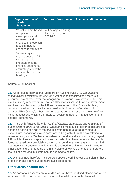| <b>Significant risk of</b><br>material<br>misstatement                                                                                                                     | <b>Sources of assurance</b>                              | <b>Planned audit response</b> |
|----------------------------------------------------------------------------------------------------------------------------------------------------------------------------|----------------------------------------------------------|-------------------------------|
| Valuations are based<br>on specialist<br>assumptions and<br>estimates, and<br>changes in these can<br>result in material<br>changes to valuations.                         | will be applied during<br>the financial year<br>2021/22. |                               |
| Values may also<br>change between full<br>valuations, it is<br>important that the<br>financial statements<br>accurately reflect the<br>value of the land and<br>buildings. |                                                          |                               |

#### Source: Audit Scotland

**15.** As set out in International Standard on Auditing (UK) 240*: The auditor's responsibilities relating to fraud in an audit of financial statement*, there is a presumed risk of fraud over the recognition of revenue. We have rebutted this risk as funding received from resource allocations from the Scottish Government, services commissioned by the IJB and revenue from other Boards is clearly communicated and can readily be agreed to third party confirmations. In addition, NHS Orkney's other income streams comprise of a high volume of low value transactions which are unlikely to result in a material manipulation of the financial statements.

**16.** In line with Practice Note 10: *Audit of financial statements and regularity of public sector bodies in the United Kingdom*, as most public-sector bodies are net spending bodies, the risk of material misstatement due to fraud related to expenditure recognition may in some cases be greater than the risk relating to revenue recognition. We have considered expenditure streams including payroll, IJB contributions and depreciation and consider that these items can be readily forecast based on a predictable pattern of expenditure. We have concluded that opportunity for fraudulent manipulation is deemed to be limited. NHS Orkney's other expenditure is made up of a high volume of low value items and therefore the risk of a material misstatement is deemed to be low.

**17.** We have not, therefore, incorporated specific work into our audit plan in these areas over and above our standard audit procedures.

#### **Other areas of audit focus**

**18.** As part of our assessment of audit risks, we have identified other areas where we consider there are also risks of material misstatement to the financial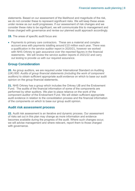statements. Based on our assessment of the likelihood and magnitude of the risk, we do not consider these to represent significant risks. We will keep these areas under review as our audit progresses. If our assessment of risk changes and we consider these risks to be significant, we will communicate this to management and those charged with governance and revise our planned audit approach accordingly.

**19.** The areas of specific audit focus are:

• Payments to primary care contractors. These are a material and complex account area with payments totalling around £10 million each year. There was a qualification in the service auditor report in 2020/21, however we worked with NHS Orkney to gain assurance over the reported figures in the financial statements. We will review the service auditor reports in 2021/22 and carry out testing to provide us with our required assurance.

#### **Group Consideration**

**20.** As group auditors, we are required under International Standard on Auditing (UK) 600: *Audits of group financial statements (including the work of component auditors)* to obtain sufficient appropriate audit evidence on which to base our audit opinion on the group financial statements.

**21.** NHS Orkney has a group which includes the Orkney IJB and the Endowment Fund. The audits of the financial information of some of the components are performed by other auditors. We plan to place reliance on the work of the component auditor of the Endowment Fund. We will obtain sufficient appropriate audit evidence in relation to the consolidation process and the financial information of the components on which to base our group audit opinion.

#### **Audit risk assessment process**

**22.** Audit risk assessment is an iterative and dynamic process. Our assessment of risks set out in this plan may change as more information and evidence becomes available during the progress of the audit. Where such changes occur, we will advise management and where relevant, report them to those charged with governance.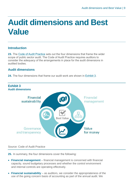# <span id="page-8-0"></span>**Audit dimensions and Best Value**

### **Introduction**

**23.** The [Code of Audit Practice](https://www.audit-scotland.gov.uk/uploads/docs/report/2016/code_audit_practice_16_0.pdf) sets out the four dimensions that frame the wider scope of public sector audit. The Code of Audit Practice requires auditors to consider the adequacy of the arrangements in place for the audit dimensions in audited bodies.

# **Audit dimensions**

**24.** The four dimensions that frame our audit work are shown in [Exhibit 3](#page-8-1).

<span id="page-8-1"></span>

#### Source: Code of Audit Practice

**25.** In summary, the four dimensions cover the following:

- **Financial management** financial management is concerned with financial capacity, sound budgetary processes and whether the control environment and internal controls are operating effectively.
- **Financial sustainability** as auditors, we consider the appropriateness of the use of the going concern basis of accounting as part of the annual audit. We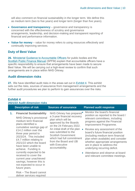will also comment on financial sustainability in the longer term. We define this as medium term (two to five years) and longer term (longer than five years).

- **Governance and transparency** governance and transparency is concerned with the effectiveness of scrutiny and governance arrangements, leadership, and decision-making and transparent reporting of financial and performance information.
- **Value for money** value for money refers to using resources effectively and continually improving services.

#### **Duty of Best Value**

**26.** [Ministerial Guidance to Accountable Officers](https://www.gov.scot/publications/best-value-public-services-guidance-accountable-officers/) for public bodies and the [Scottish Public Finance Manual](https://www.gov.scot/publications/scottish-public-finance-manual/background-and-applicability/background-and-applicability/) (SPFM) explain that accountable officers have a specific responsibility to ensure that arrangements have been made to secure Best Value. We will be carrying out a high-level review to confirm that such arrangements are in place within NHS Orkney.

#### **Audit dimension risks**

**27.** We have identified audit risks in the areas set out in [Exhibit 4](#page-9-0). This exhibit sets out the risks, sources of assurance from management arrangements and the further audit procedures we plan to perform to gain assurances over the risks.

#### <span id="page-9-0"></span>**Exhibit 4 2021/22 Audit dimension risks**

|    | <b>Description of risk</b>                                                                                                                                                                                                                                                                        | <b>Sources of assurance</b>                                                                                                                                                                                                                                                                                                       | <b>Planned audit response</b>                                                                                                                                                                                                                                                                                                                                                                                        |
|----|---------------------------------------------------------------------------------------------------------------------------------------------------------------------------------------------------------------------------------------------------------------------------------------------------|-----------------------------------------------------------------------------------------------------------------------------------------------------------------------------------------------------------------------------------------------------------------------------------------------------------------------------------|----------------------------------------------------------------------------------------------------------------------------------------------------------------------------------------------------------------------------------------------------------------------------------------------------------------------------------------------------------------------------------------------------------------------|
| 1. | <b>Financial Sustainability</b><br>NHS Orkney's provisional<br>medium term financial<br>plans identified a<br>cumulative savings gap of<br>£14.2 million over the<br>three year period to<br>2023/24. This included<br>£4.7 million relating to<br>2021/22 which the board<br>have been unable to | NHS Orkney has prepared <sup>®</sup><br>a 3-year financial recovery<br>plan which will be<br>approved by the Boards<br>on the 24 February 2022.<br>An initial draft of the plan<br>was submitted to the<br><b>Scottish Government</b><br>which had full commitment<br>from the Board and IJB<br>with Executive<br>accountability. | Monitor the board's financial<br>position as reported to the board /<br>relevant committees, including<br>progress against the Financial<br>Improvement Programme.<br>Review any assessment of the<br>board's future financial position<br>(including medium term financial<br>plan when available) and consider<br>whether appropriate arrangements<br>are in place to address the<br>underlying recurring deficit. |
|    | achieve. Funding is<br>currently expected to be<br>received to cover the<br>current year unachieved<br>savings, however this is<br>not expected to occur in<br>future years.<br>Risk - The Board cannot                                                                                           |                                                                                                                                                                                                                                                                                                                                   | • Attendance and observe at board<br>and relevant committee meetings.                                                                                                                                                                                                                                                                                                                                                |
|    | deliver services required                                                                                                                                                                                                                                                                         |                                                                                                                                                                                                                                                                                                                                   |                                                                                                                                                                                                                                                                                                                                                                                                                      |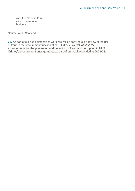over the medium term within the required budgets

#### Source: Audit Scotland

**28.** As part of our audit dimensions work, we will be carrying out a review of the risk of fraud in the procurement function of NHS Orkney. We will assess the arrangements for the prevention and detection of fraud and corruption in NHS Orkney's procurement arrangements as part of our audit work during 2021/22.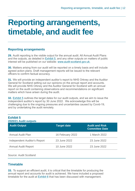# <span id="page-11-0"></span>**Reporting arrangements, timetable, and audit fee**

# **Reporting arrangements**

**29.** Audit reporting is the visible output for the annual audit. All Annual Audit Plans and the outputs, as detailed in [Exhibit 5](#page-11-1), and any other outputs on matters of public interest will be published on our website: [www.audit-scotland.gov.uk.](http://www.audit-scotland.gov.uk./)

**30.** Matters arising from our audit will be reported on a timely basis and will include agreed action plans. Draft management reports will be issued to the relevant officers to confirm factual accuracy.

**31.** We will provide an independent auditor's report to NHS Orkney and the Auditor General for Scotland setting out our opinions on the annual report and accounts. We will provide NHS Orkney and the Auditor General for Scotland with an annual report on the audit containing observations and recommendations on significant matters which have arisen during the audit.

**32.** [Exhibit 5](#page-11-1) outlines the target dates for our audit outputs, and we aim to issue the independent auditor's report by 30 June 2022. We acknowledge this will be challenging due to the ongoing pressures and uncertainties caused by Covid-19, and by undertaking the audit remotely.

<span id="page-11-1"></span>

| <b>Exhibit 5</b><br>2020/21 Audit outputs |                    |                                                |  |
|-------------------------------------------|--------------------|------------------------------------------------|--|
| <b>Audit Output</b>                       | <b>Target date</b> | <b>Audit and Risk</b><br><b>Committee Date</b> |  |
| <b>Annual Audit Plan</b>                  | 16 February 2022   | 1 March 2022                                   |  |
| <b>Independent Auditor's Report</b>       | 23 June 2022       | 23 June 2022                                   |  |
| <b>Annual Audit Report</b>                | 10 June 2022       | 23 June 2022                                   |  |
|                                           |                    |                                                |  |

#### Source: Audit Scotland

# **Timetable**

**33.** To support an efficient audit, it is critical that the timetable for producing the annual report and accounts for audit is achieved. We have included a proposed timetable for the audit at [Exhibit 6](#page-12-0) that has been discussed with management.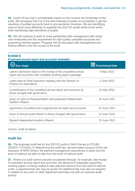**34.** Covid-19 has had a considerable impact on the conduct and timeliness of the audit. We recognise that it is in the best interests of public accountability to get the reporting of audited accounts back to pre-pandemic timelines. We are identifying ways to work more efficiently to expedite the 2021/22 audits whilst at the same time maintaining high standards of quality.

**35.** We will continue to work in close partnership with management with clarity over timescales and the requirement for high quality unaudited accounts and supporting working papers. Progress will be discussed with management and finance officers over the course of the audit.

# <span id="page-12-0"></span>**Exhibit 6**

#### **Proposed annual report and accounts timetable**

| <b>Key stage</b>                                                                                                            | <b>Fill Provisional Date</b> |
|-----------------------------------------------------------------------------------------------------------------------------|------------------------------|
| Latest submission date for the receipt of the unaudited annual<br>report and accounts with complete working papers package. | 9 May 2022                   |
| Latest date for final clearance meeting with the Director of<br>Finance (or equivalent)                                     | 2 June 2022                  |
| Consideration of the unaudited annual report and accounts by<br>those charged with governance                               | 31 May 2022                  |
| Issue of Letter of Representation and proposed Independent<br><b>Auditor's Report</b>                                       | 10 June 2022                 |
| Agreement of audited and unsigned annual report and accounts                                                                | 23 June 2022                 |
| Issue of Annual Audit Report to those charged with governance.                                                              | 23 June 2022                 |
| Signed Independent Auditor's Report                                                                                         | 23 June 2022                 |
|                                                                                                                             |                              |

#### Source: Audit Scotland

### **Audit fee**

**36.** The proposed audit fee for the 2021/22 audit of NHS Orkney is £75,080 (2020/21: £73,630). In determining the audit fee, we have taken account of the risk exposure of NHS Orkney, the planned management assurances in place and the level of reliance we plan to take from the work of internal audit.

**37.** Where our audit cannot proceed as planned through, for example, late receipt of unaudited annual report and accounts, the absence of adequate supporting working papers or being unable to take planned reliance from the work of internal audit, a supplementary fee may be levied. An additional fee may also be required in relation to any work or other significant exercises out with our planned audit activity.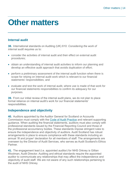# <span id="page-13-0"></span>**Other matters**

# **Internal audit**

**38.** International standards on Auditing (UK) 610: *Considering the work of internal audit r*equires us to:

- consider the activities of internal audit and their effect on external audit procedures;
- obtain an understanding of internal audit activities to inform our planning and develop an effective audit approach that avoids duplication of effort;
- perform a preliminary assessment of the internal audit function when there is scope for relying on internal audit work which is relevant to our financial statements' responsibilities; and
- evaluate and test the work of internal audit, where use is made of that work for our financial statements responsibilities to confirm its adequacy for our purposes.

**39.** From our initial review of the internal audit plans, we do not plan to place formal reliance on internal audit's work for our financial statements' responsibilities.

### **Independence and objectivity**

**40.** Auditors appointed by the Auditor General for Scotland or Accounts Commission must comply with the [Code of Audit Practice](https://www.audit-scotland.gov.uk/uploads/docs/report/2016/code_audit_practice_16_0.pdf) and relevant supporting guidance. When auditing the financial statements, auditors must also comply with professional standards issued by the Financial Reporting Council and those of the professional accountancy bodies. These standards impose stringent rules to ensure the independence and objectivity of auditors. Audit Scotland has robust arrangements in place to ensure compliance with these standards including an annual *'fit and proper*' declaration for all members of staff. The arrangements are overseen by the Director of Audit Services, who serves as Audit Scotland's Ethics **Partner** 

**41.** The engagement lead (i.e. appointed auditor) for NHS Orkney is Gillian Woolman, Audit Director. Auditing and ethical standards require the appointed auditor to communicate any relationships that may affect the independence and objectivity of audit staff. We are not aware of any such relationships pertaining to the audit of NHS Orkney.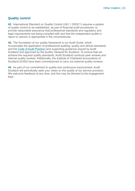### **Quality control**

**42.** International Standard on Quality Control (UK) 1 (ISQC1) requires a system of quality control to be established, as part of financial audit procedures, to provide reasonable assurance that professional standards and regulatory and legal requirements are being complied with and that the independent auditor's report or opinion is appropriate in the circumstances.

**43.** The foundation of our quality framework is our Audit Guide, which incorporates the application of professional auditing, quality and ethical standards and the Code of Audit Practice (and supporting guidance) issued by Audit Scotland and approved by the Auditor General for Scotland. To ensure that we achieve the required quality standards, Audit Scotland conducts peer reviews and internal quality reviews. Additionally, the Institute of Chartered Accountants of Scotland (ICAS) have been commissioned to carry out external quality reviews.

**44.** As part of our commitment to quality and continuous improvement, Audit Scotland will periodically seek your views on the quality of our service provision. We welcome feedback at any time, and this may be directed to the engagement lead.